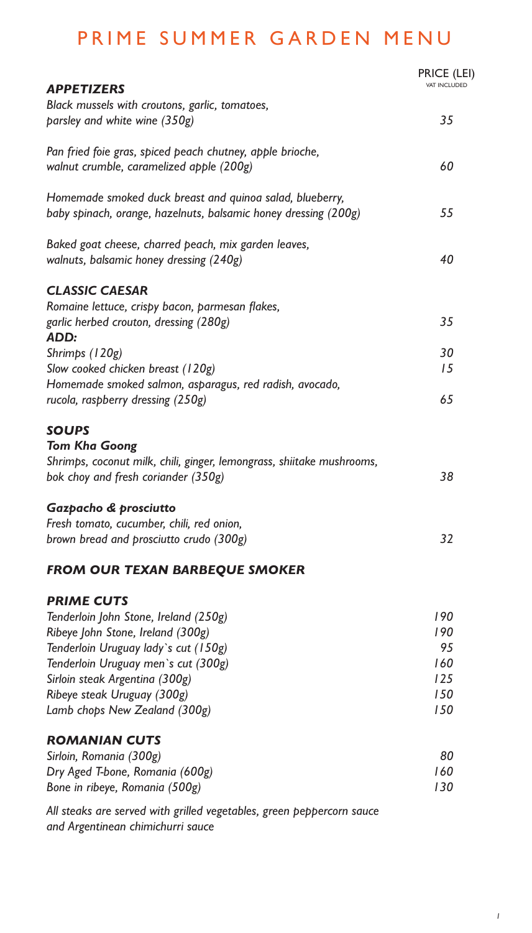## PRIME SUMMER GARDEN MENU

|                                                                       | <b>PRICE (LEI)</b><br><b>VAT INCLUDED</b> |
|-----------------------------------------------------------------------|-------------------------------------------|
| <b>APPETIZERS</b><br>Black mussels with croutons, garlic, tomatoes,   |                                           |
| parsley and white wine (350g)                                         | 35                                        |
|                                                                       |                                           |
| Pan fried foie gras, spiced peach chutney, apple brioche,             |                                           |
| walnut crumble, caramelized apple (200g)                              | 60                                        |
| Homemade smoked duck breast and quinoa salad, blueberry,              |                                           |
| baby spinach, orange, hazelnuts, balsamic honey dressing (200g)       | 55                                        |
| Baked goat cheese, charred peach, mix garden leaves,                  |                                           |
| walnuts, balsamic honey dressing (240g)                               | 40                                        |
| <b>CLASSIC CAESAR</b>                                                 |                                           |
| Romaine lettuce, crispy bacon, parmesan flakes,                       |                                           |
| garlic herbed crouton, dressing (280g)<br>ADD:                        | 35                                        |
| Shrimps (120g)                                                        | 30                                        |
| Slow cooked chicken breast (120g)                                     | 15                                        |
| Homemade smoked salmon, asparagus, red radish, avocado,               |                                           |
| rucola, raspberry dressing (250g)                                     | 65                                        |
| <b>SOUPS</b>                                                          |                                           |
| <b>Tom Kha Goong</b>                                                  |                                           |
| Shrimps, coconut milk, chili, ginger, lemongrass, shiitake mushrooms, |                                           |
| bok choy and fresh coriander (350g)                                   | 38                                        |
| Gazpacho & prosciutto                                                 |                                           |
| Fresh tomato, cucumber, chili, red onion,                             |                                           |
| brown bread and prosciutto crudo (300g)                               | 32                                        |
| <b>FROM OUR TEXAN BARBEQUE SMOKER</b>                                 |                                           |
| <b>PRIME CUTS</b>                                                     |                                           |
| Tenderloin John Stone, Ireland (250g)                                 | 190                                       |
| Ribeye John Stone, Ireland (300g)                                     | 190                                       |
| Tenderloin Uruguay lady's cut (150g)                                  | 95                                        |
| Tenderloin Uruguay men's cut (300g)                                   | 160                                       |
| Sirloin steak Argentina (300g)                                        | 125                                       |
| Ribeye steak Uruguay (300g)                                           | 150                                       |
| Lamb chops New Zealand (300g)                                         | 150                                       |
| <b>ROMANIAN CUTS</b>                                                  |                                           |
|                                                                       | n n                                       |

| Sirloin, Romania (300g)         | 80  |
|---------------------------------|-----|
| Dry Aged T-bone, Romania (600g) | 160 |
| Bone in ribeye, Romania (500g)  | 130 |

*All steaks are served with grilled vegetables, green peppercorn sauce and Argentinean chimichurri sauce*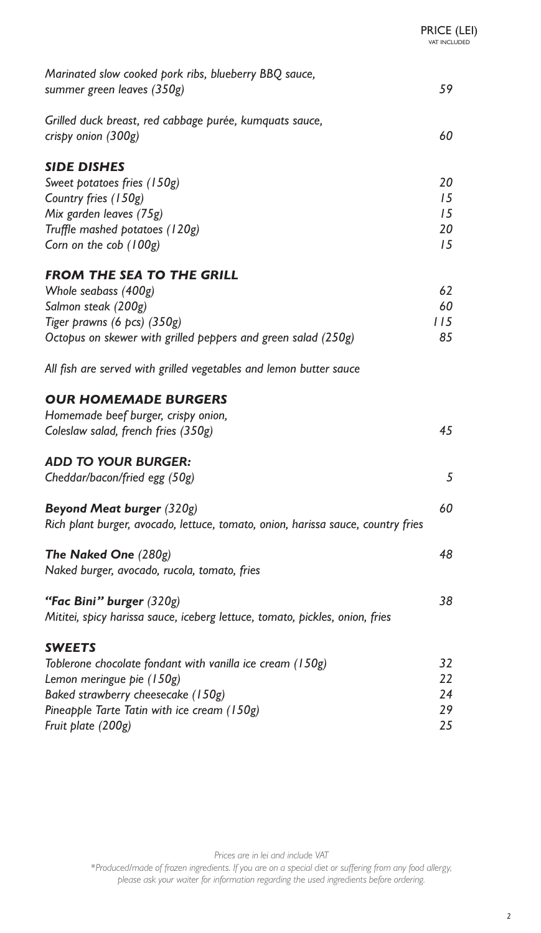| Marinated slow cooked pork ribs, blueberry BBQ sauce,                            | 59  |
|----------------------------------------------------------------------------------|-----|
| summer green leaves (350g)                                                       |     |
| Grilled duck breast, red cabbage purée, kumquats sauce,                          |     |
| crispy onion (300g)                                                              | 60  |
|                                                                                  |     |
| <b>SIDE DISHES</b>                                                               |     |
| Sweet potatoes fries (150g)                                                      | 20  |
| Country fries (150g)                                                             | 15  |
| Mix garden leaves (75g)                                                          | 15  |
| Truffle mashed potatoes (120g)                                                   | 20  |
| Corn on the cob (100g)                                                           | 15  |
| <b>FROM THE SEA TO THE GRILL</b>                                                 |     |
| Whole seabass (400g)                                                             | 62  |
| Salmon steak (200g)                                                              | 60  |
| Tiger prawns (6 pcs) (350g)                                                      | 115 |
| Octopus on skewer with grilled peppers and green salad (250g)                    | 85  |
|                                                                                  |     |
| All fish are served with grilled vegetables and lemon butter sauce               |     |
| <b>OUR HOMEMADE BURGERS</b>                                                      |     |
| Homemade beef burger, crispy onion,                                              |     |
| Coleslaw salad, french fries (350g)                                              | 45  |
|                                                                                  |     |
| <b>ADD TO YOUR BURGER:</b>                                                       |     |
| Cheddar/bacon/fried egg (50g)                                                    | 5   |
| <b>Beyond Meat burger (320g)</b>                                                 | 60  |
| Rich plant burger, avocado, lettuce, tomato, onion, harissa sauce, country fries |     |
|                                                                                  |     |
| The Naked One (280g)                                                             | 48  |
| Naked burger, avocado, rucola, tomato, fries                                     |     |
| "Fac Bini" burger (320g)                                                         | 38  |
| Mititei, spicy harissa sauce, iceberg lettuce, tomato, pickles, onion, fries     |     |
|                                                                                  |     |
| <b>SWEETS</b>                                                                    |     |
| Toblerone chocolate fondant with vanilla ice cream (150g)                        | 32  |
| Lemon meringue pie (150g)                                                        | 22  |
| Baked strawberry cheesecake (150g)                                               | 24  |
| Pineapple Tarte Tatin with ice cream (150g)                                      | 29  |
| Fruit plate (200g)                                                               | 25  |

*Prices are in lei and include VAT*

\**Produced/made of frozen ingredients. If you are on a special diet or suering from any food allergy, please ask your waiter for information regarding the used ingredients before ordering.*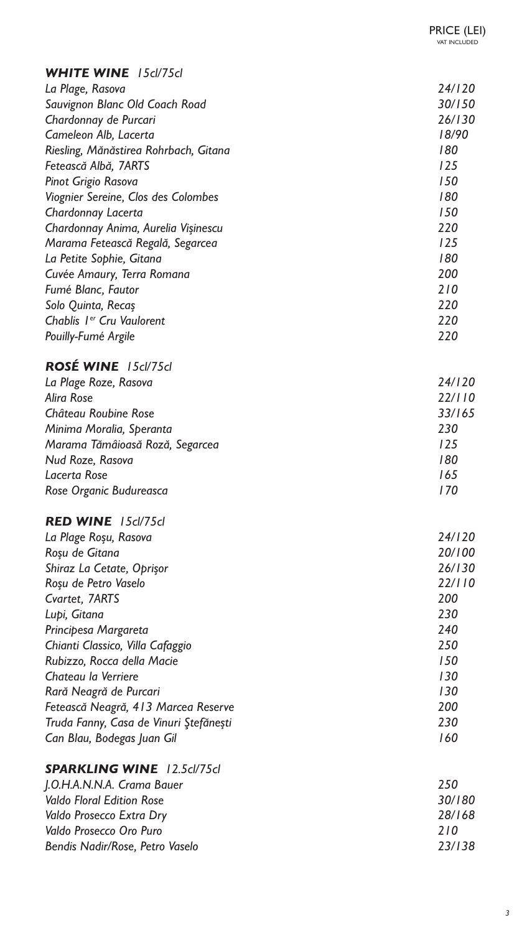| <b>WHITE WINE</b> 15cl/75cl           |        |
|---------------------------------------|--------|
| La Plage, Rasova                      | 24/120 |
| Sauvignon Blanc Old Coach Road        | 30/150 |
| Chardonnay de Purcari                 | 26/130 |
| Cameleon Alb, Lacerta                 | 18/90  |
| Riesling, Mănăstirea Rohrbach, Gitana | 180    |
| Fetească Albă, 7ARTS                  | 125    |
| Pinot Grigio Rasova                   | 150    |
| Viognier Sereine, Clos des Colombes   | 180    |
| Chardonnay Lacerta                    | 150    |
| Chardonnay Anima, Aurelia Vişinescu   | 220    |
| Marama Fetească Regală, Segarcea      | 125    |
| La Petite Sophie, Gitana              | 180    |
| Cuvée Amaury, Terra Romana            | 200    |
| Fumé Blanc, Fautor                    | 210    |
| Solo Quinta, Recaș                    | 220    |
| Chablis 1 <sup>er</sup> Cru Vaulorent | 220    |
| Pouilly-Fumé Argile                   | 220    |

## *ROSÉ WINE 15cl/75cl*

| La Plage Roze, Rasova           | 24/120 |
|---------------------------------|--------|
| <b>Alira Rose</b>               | 22/110 |
| Château Roubine Rose            | 33/165 |
| Minima Moralia, Speranta        | 230    |
| Marama Tămâioasă Roză, Segarcea | 125    |
| Nud Roze, Rasova                | 180    |
| Lacerta Rose                    | 165    |
| Rose Organic Budureasca         | 170    |

## *RED WINE 15cl/75cl*

| La Plage Roșu, Rasova                  | 24/120 |
|----------------------------------------|--------|
| Roșu de Gitana                         | 20/100 |
| Shiraz La Cetate, Oprișor              | 26/130 |
| Roșu de Petro Vaselo                   | 22/110 |
| Cvartet, 7ARTS                         | 200    |
| Lupi, Gitana                           | 230    |
| Principesa Margareta                   | 240    |
| Chianti Classico, Villa Cafaggio       | 250    |
| Rubizzo, Rocca della Macie             | 150    |
| Chateau la Verriere                    | 130    |
| Rară Neagră de Purcari                 | 130    |
| Fetească Neagră, 413 Marcea Reserve    | 200    |
| Truda Fanny, Casa de Vinuri Ştefănești | 230    |
| Can Blau, Bodegas Juan Gil             | 160    |
|                                        |        |

## *SPARKLING WINE 12.5cl/75cl*

| J.O.H.A.N.N.A. Crama Bauer       | 250    |
|----------------------------------|--------|
| <b>Valdo Floral Edition Rose</b> | 30/180 |
| Valdo Prosecco Extra Dry         | 28/168 |
| Valdo Prosecco Oro Puro          | 210    |
| Bendis Nadir/Rose, Petro Vaselo  | 23/138 |

PRICE (LEI) VAT INCLUDED